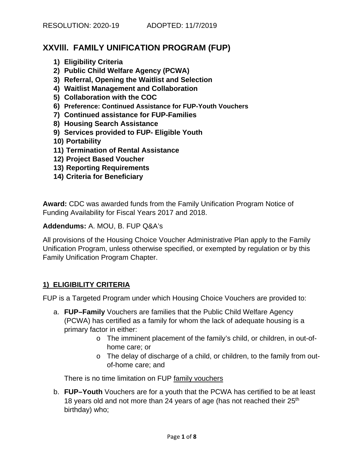## **XXVlll. FAMILY UNIFICATION PROGRAM (FUP)**

- **1) Eligibility Criteria**
- **2) Public Child Welfare Agency (PCWA)**
- **3) Referral, Opening the Waitlist and Selection**
- **4) Waitlist Management and Collaboration**
- **5) Collaboration with the COC**
- **6) Preference: Continued Assistance for FUP-Youth Vouchers**
- **7) Continued assistance for FUP-Families**
- **8) Housing Search Assistance**
- **9) Services provided to FUP- Eligible Youth**
- **10) Portability**
- **11) Termination of Rental Assistance**
- **12) Project Based Voucher**
- **13) Reporting Requirements**
- **14) Criteria for Beneficiary**

**Award:** CDC was awarded funds from the Family Unification Program Notice of Funding Availability for Fiscal Years 2017 and 2018.

**Addendums:** A. MOU, B. FUP Q&A's

All provisions of the Housing Choice Voucher Administrative Plan apply to the Family Unification Program, unless otherwise specified, or exempted by regulation or by this Family Unification Program Chapter.

### **1) ELIGIBILITY CRITERIA**

FUP is a Targeted Program under which Housing Choice Vouchers are provided to:

- a. **FUP–Family** Vouchers are families that the Public Child Welfare Agency (PCWA) has certified as a family for whom the lack of adequate housing is a primary factor in either:
	- o The imminent placement of the family's child, or children, in out-ofhome care; or
	- o The delay of discharge of a child, or children, to the family from outof-home care; and

There is no time limitation on FUP family vouchers

b. **FUP–Youth** Vouchers are for a youth that the PCWA has certified to be at least 18 years old and not more than 24 years of age (has not reached their 25<sup>th</sup> birthday) who;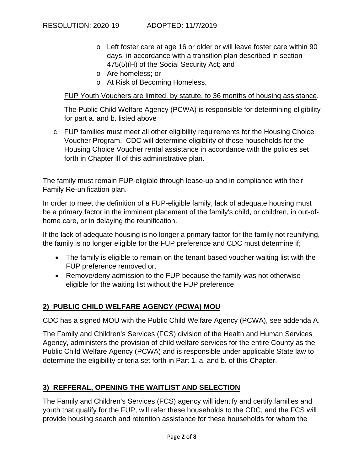- o Left foster care at age 16 or older or will leave foster care within 90 days, in accordance with a transition plan described in section 475(5)(H) of the Social Security Act; and
- o Are homeless; or
- o At Risk of Becoming Homeless.

### FUP Youth Vouchers are limited, by statute, to 36 months of housing assistance.

The Public Child Welfare Agency (PCWA) is responsible for determining eligibility for part a. and b. listed above

c. FUP families must meet all other eligibility requirements for the Housing Choice Voucher Program. CDC will determine eligibility of these households for the Housing Choice Voucher rental assistance in accordance with the policies set forth in Chapter lll of this administrative plan.

The family must remain FUP-eligible through lease-up and in compliance with their Family Re-unification plan.

In order to meet the definition of a FUP-eligible family, lack of adequate housing must be a primary factor in the imminent placement of the family's child, or children, in out-ofhome care, or in delaying the reunification.

If the lack of adequate housing is no longer a primary factor for the family not reunifying, the family is no longer eligible for the FUP preference and CDC must determine if;

- The family is eligible to remain on the tenant based voucher waiting list with the FUP preference removed or,
- Remove/deny admission to the FUP because the family was not otherwise eligible for the waiting list without the FUP preference.

## **2) PUBLIC CHILD WELFARE AGENCY (PCWA) MOU**

CDC has a signed MOU with the Public Child Welfare Agency (PCWA), see addenda A.

The Family and Children's Services (FCS) division of the Health and Human Services Agency, administers the provision of child welfare services for the entire County as the Public Child Welfare Agency (PCWA) and is responsible under applicable State law to determine the eligibility criteria set forth in Part 1, a. and b. of this Chapter.

## **3) REFFERAL, OPENING THE WAITLIST AND SELECTION**

The Family and Children's Services (FCS) agency will identify and certify families and youth that qualify for the FUP, will refer these households to the CDC, and the FCS will provide housing search and retention assistance for these households for whom the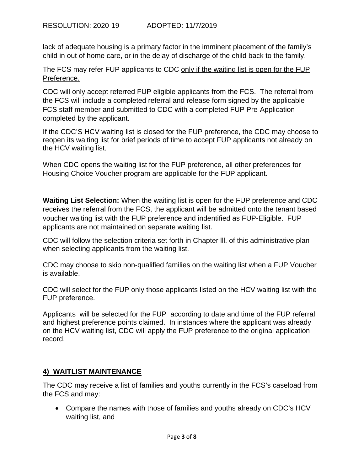lack of adequate housing is a primary factor in the imminent placement of the family's child in out of home care, or in the delay of discharge of the child back to the family.

The FCS may refer FUP applicants to CDC only if the waiting list is open for the FUP Preference.

CDC will only accept referred FUP eligible applicants from the FCS. The referral from the FCS will include a completed referral and release form signed by the applicable FCS staff member and submitted to CDC with a completed FUP Pre-Application completed by the applicant.

If the CDC'S HCV waiting list is closed for the FUP preference, the CDC may choose to reopen its waiting list for brief periods of time to accept FUP applicants not already on the HCV waiting list.

When CDC opens the waiting list for the FUP preference, all other preferences for Housing Choice Voucher program are applicable for the FUP applicant.

**Waiting List Selection:** When the waiting list is open for the FUP preference and CDC receives the referral from the FCS, the applicant will be admitted onto the tenant based voucher waiting list with the FUP preference and indentified as FUP-Eligible. FUP applicants are not maintained on separate waiting list.

CDC will follow the selection criteria set forth in Chapter lll. of this administrative plan when selecting applicants from the waiting list.

CDC may choose to skip non-qualified families on the waiting list when a FUP Voucher is available.

CDC will select for the FUP only those applicants listed on the HCV waiting list with the FUP preference.

Applicants will be selected for the FUP according to date and time of the FUP referral and highest preference points claimed. In instances where the applicant was already on the HCV waiting list, CDC will apply the FUP preference to the original application record.

### **4) WAITLIST MAINTENANCE**

The CDC may receive a list of families and youths currently in the FCS's caseload from the FCS and may:

 Compare the names with those of families and youths already on CDC's HCV waiting list, and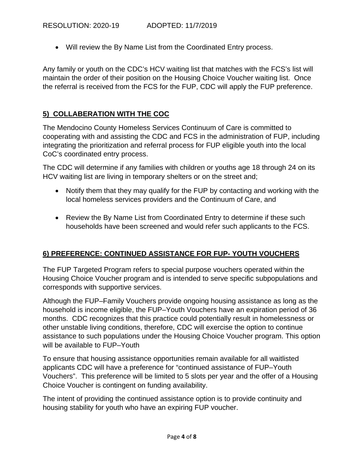Will review the By Name List from the Coordinated Entry process.

Any family or youth on the CDC's HCV waiting list that matches with the FCS's list will maintain the order of their position on the Housing Choice Voucher waiting list. Once the referral is received from the FCS for the FUP, CDC will apply the FUP preference.

## **5) COLLABERATION WITH THE COC**

The Mendocino County Homeless Services Continuum of Care is committed to cooperating with and assisting the CDC and FCS in the administration of FUP, including integrating the prioritization and referral process for FUP eligible youth into the local CoC's coordinated entry process.

The CDC will determine if any families with children or youths age 18 through 24 on its HCV waiting list are living in temporary shelters or on the street and;

- Notify them that they may qualify for the FUP by contacting and working with the local homeless services providers and the Continuum of Care, and
- Review the By Name List from Coordinated Entry to determine if these such households have been screened and would refer such applicants to the FCS.

## **6) PREFERENCE: CONTINUED ASSISTANCE FOR FUP- YOUTH VOUCHERS**

The FUP Targeted Program refers to special purpose vouchers operated within the Housing Choice Voucher program and is intended to serve specific subpopulations and corresponds with supportive services.

Although the FUP–Family Vouchers provide ongoing housing assistance as long as the household is income eligible, the FUP–Youth Vouchers have an expiration period of 36 months. CDC recognizes that this practice could potentially result in homelessness or other unstable living conditions, therefore, CDC will exercise the option to continue assistance to such populations under the Housing Choice Voucher program. This option will be available to FUP–Youth

To ensure that housing assistance opportunities remain available for all waitlisted applicants CDC will have a preference for "continued assistance of FUP–Youth Vouchers". This preference will be limited to 5 slots per year and the offer of a Housing Choice Voucher is contingent on funding availability.

The intent of providing the continued assistance option is to provide continuity and housing stability for youth who have an expiring FUP voucher.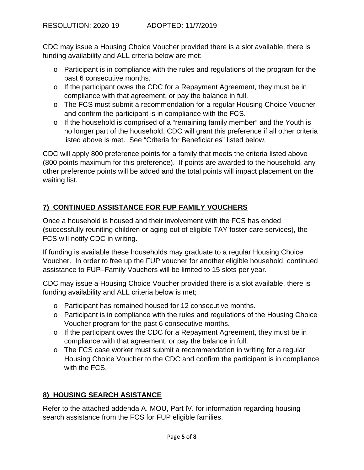CDC may issue a Housing Choice Voucher provided there is a slot available, there is funding availability and ALL criteria below are met:

- o Participant is in compliance with the rules and regulations of the program for the past 6 consecutive months.
- o If the participant owes the CDC for a Repayment Agreement, they must be in compliance with that agreement, or pay the balance in full.
- o The FCS must submit a recommendation for a regular Housing Choice Voucher and confirm the participant is in compliance with the FCS.
- o If the household is comprised of a "remaining family member" and the Youth is no longer part of the household, CDC will grant this preference if all other criteria listed above is met. See "Criteria for Beneficiaries" listed below.

CDC will apply 800 preference points for a family that meets the criteria listed above (800 points maximum for this preference). If points are awarded to the household, any other preference points will be added and the total points will impact placement on the waiting list.

# **7) CONTINUED ASSISTANCE FOR FUP FAMILY VOUCHERS**

Once a household is housed and their involvement with the FCS has ended (successfully reuniting children or aging out of eligible TAY foster care services), the FCS will notify CDC in writing.

If funding is available these households may graduate to a regular Housing Choice Voucher. In order to free up the FUP voucher for another eligible household, continued assistance to FUP–Family Vouchers will be limited to 15 slots per year.

CDC may issue a Housing Choice Voucher provided there is a slot available, there is funding availability and ALL criteria below is met;

- o Participant has remained housed for 12 consecutive months.
- $\circ$  Participant is in compliance with the rules and regulations of the Housing Choice Voucher program for the past 6 consecutive months.
- o If the participant owes the CDC for a Repayment Agreement, they must be in compliance with that agreement, or pay the balance in full.
- o The FCS case worker must submit a recommendation in writing for a regular Housing Choice Voucher to the CDC and confirm the participant is in compliance with the FCS.

## **8) HOUSING SEARCH ASISTANCE**

Refer to the attached addenda A. MOU, Part lV. for information regarding housing search assistance from the FCS for FUP eligible families.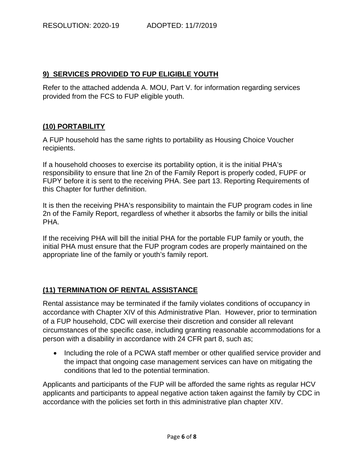### **9) SERVICES PROVIDED TO FUP ELIGIBLE YOUTH**

Refer to the attached addenda A. MOU, Part V. for information regarding services provided from the FCS to FUP eligible youth.

### **(10) PORTABILITY**

A FUP household has the same rights to portability as Housing Choice Voucher recipients.

If a household chooses to exercise its portability option, it is the initial PHA's responsibility to ensure that line 2n of the Family Report is properly coded, FUPF or FUPY before it is sent to the receiving PHA. See part 13. Reporting Requirements of this Chapter for further definition.

It is then the receiving PHA's responsibility to maintain the FUP program codes in line 2n of the Family Report, regardless of whether it absorbs the family or bills the initial PHA.

If the receiving PHA will bill the initial PHA for the portable FUP family or youth, the initial PHA must ensure that the FUP program codes are properly maintained on the appropriate line of the family or youth's family report.

### **(11) TERMINATION OF RENTAL ASSISTANCE**

Rental assistance may be terminated if the family violates conditions of occupancy in accordance with Chapter XIV of this Administrative Plan. However, prior to termination of a FUP household, CDC will exercise their discretion and consider all relevant circumstances of the specific case, including granting reasonable accommodations for a person with a disability in accordance with 24 CFR part 8, such as;

• Including the role of a PCWA staff member or other qualified service provider and the impact that ongoing case management services can have on mitigating the conditions that led to the potential termination.

Applicants and participants of the FUP will be afforded the same rights as regular HCV applicants and participants to appeal negative action taken against the family by CDC in accordance with the policies set forth in this administrative plan chapter XIV.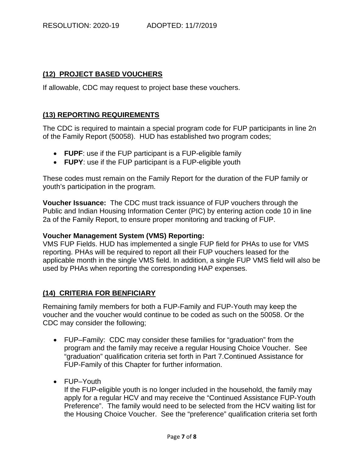### **(12) PROJECT BASED VOUCHERS**

If allowable, CDC may request to project base these vouchers.

### **(13) REPORTING REQUIREMENTS**

The CDC is required to maintain a special program code for FUP participants in line 2n of the Family Report (50058). HUD has established two program codes;

- **FUPF**: use if the FUP participant is a FUP-eligible family
- **FUPY**: use if the FUP participant is a FUP-eligible youth

These codes must remain on the Family Report for the duration of the FUP family or youth's participation in the program.

**Voucher Issuance:** The CDC must track issuance of FUP vouchers through the Public and Indian Housing Information Center (PIC) by entering action code 10 in line 2a of the Family Report, to ensure proper monitoring and tracking of FUP.

#### **Voucher Management System (VMS) Reporting:**

VMS FUP Fields. HUD has implemented a single FUP field for PHAs to use for VMS reporting. PHAs will be required to report all their FUP vouchers leased for the applicable month in the single VMS field. In addition, a single FUP VMS field will also be used by PHAs when reporting the corresponding HAP expenses.

#### **(14) CRITERIA FOR BENFICIARY**

Remaining family members for both a FUP-Family and FUP-Youth may keep the voucher and the voucher would continue to be coded as such on the 50058. Or the CDC may consider the following;

- FUP–Family: CDC may consider these families for "graduation" from the program and the family may receive a regular Housing Choice Voucher. See "graduation" qualification criteria set forth in Part 7.Continued Assistance for FUP-Family of this Chapter for further information.
- FUP–Youth

If the FUP-eligible youth is no longer included in the household, the family may apply for a regular HCV and may receive the "Continued Assistance FUP-Youth Preference". The family would need to be selected from the HCV waiting list for the Housing Choice Voucher. See the "preference" qualification criteria set forth